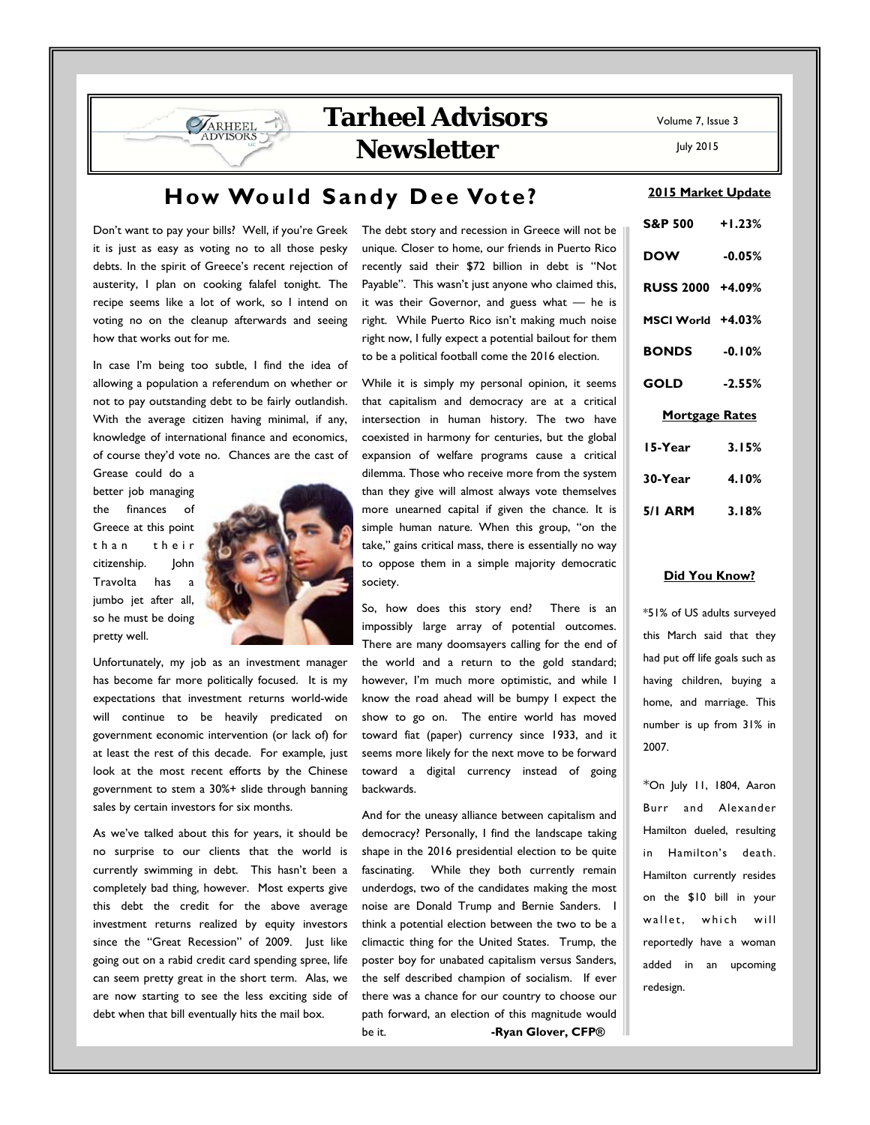July 2015

# **How Would Sandy Dee Vote?**

Don't want to pay your bills? Well, if you're Greek it is just as easy as voting no to all those pesky debts. In the spirit of Greece's recent rejection of austerity, I plan on cooking falafel tonight. The recipe seems like a lot of work, so I intend on voting no on the cleanup afterwards and seeing how that works out for me.

**SARHEEL** 

In case I'm being too subtle, I find the idea of allowing a population a referendum on whether or not to pay outstanding debt to be fairly outlandish. With the average citizen having minimal, if any, knowledge of international finance and economics, of course they'd vote no. Chances are the cast of

Grease could do a better job managing the finances of Greece at this point than their citizenship. John Travolta has a jumbo jet after all, so he must be doing pretty well.



Unfortunately, my job as an investment manager has become far more politically focused. It is my expectations that investment returns world-wide will continue to be heavily predicated on government economic intervention (or lack of) for at least the rest of this decade. For example, just look at the most recent efforts by the Chinese government to stem a 30%+ slide through banning sales by certain investors for six months.

As we've talked about this for years, it should be no surprise to our clients that the world is currently swimming in debt. This hasn't been a completely bad thing, however. Most experts give this debt the credit for the above average investment returns realized by equity investors since the "Great Recession" of 2009. Just like going out on a rabid credit card spending spree, life can seem pretty great in the short term. Alas, we are now starting to see the less exciting side of debt when that bill eventually hits the mail box.

The debt story and recession in Greece will not be unique. Closer to home, our friends in Puerto Rico recently said their \$72 billion in debt is "Not Payable". This wasn't just anyone who claimed this, it was their Governor, and guess what — he is right. While Puerto Rico isn't making much noise right now, I fully expect a potential bailout for them to be a political football come the 2016 election.

While it is simply my personal opinion, it seems that capitalism and democracy are at a critical intersection in human history. The two have coexisted in harmony for centuries, but the global expansion of welfare programs cause a critical dilemma. Those who receive more from the system than they give will almost always vote themselves more unearned capital if given the chance. It is simple human nature. When this group, "on the take," gains critical mass, there is essentially no way to oppose them in a simple majority democratic society.

So, how does this story end? There is an impossibly large array of potential outcomes. There are many doomsayers calling for the end of the world and a return to the gold standard; however, I'm much more optimistic, and while I know the road ahead will be bumpy I expect the show to go on. The entire world has moved toward fiat (paper) currency since 1933, and it seems more likely for the next move to be forward toward a digital currency instead of going backwards.

And for the uneasy alliance between capitalism and democracy? Personally, I find the landscape taking shape in the 2016 presidential election to be quite fascinating. While they both currently remain underdogs, two of the candidates making the most noise are Donald Trump and Bernie Sanders. I think a potential election between the two to be a climactic thing for the United States. Trump, the poster boy for unabated capitalism versus Sanders, the self described champion of socialism. If ever there was a chance for our country to choose our path forward, an election of this magnitude would be it. **-Ryan Glover, CFP®** 

### **2015 Market Update**

| S&P 500 +1.23%        |          |  |  |  |
|-----------------------|----------|--|--|--|
| <b>DOW</b>            | $-0.05%$ |  |  |  |
| RUSS 2000 +4.09%      |          |  |  |  |
| MSCI World +4.03%     |          |  |  |  |
| <b>BONDS</b> -0.10%   |          |  |  |  |
| GOLD                  | $-2.55%$ |  |  |  |
| <b>Mortgage Rates</b> |          |  |  |  |
| 15-Year               | 3.15%    |  |  |  |
| 30-Year               | 4.10%    |  |  |  |
| 5/1 ARM 3.18%         |          |  |  |  |

### **Did You Know?**

\*51% of US adults surveyed this March said that they had put off life goals such as having children, buying a home, and marriage. This number is up from 31% in 2007.

\*On July 11, 1804, Aaron Burr and Alexander Hamilton dueled, resulting in Hamilton's death. Hamilton currently resides on the \$10 bill in your wallet, which will reportedly have a woman added in an upcoming redesign.